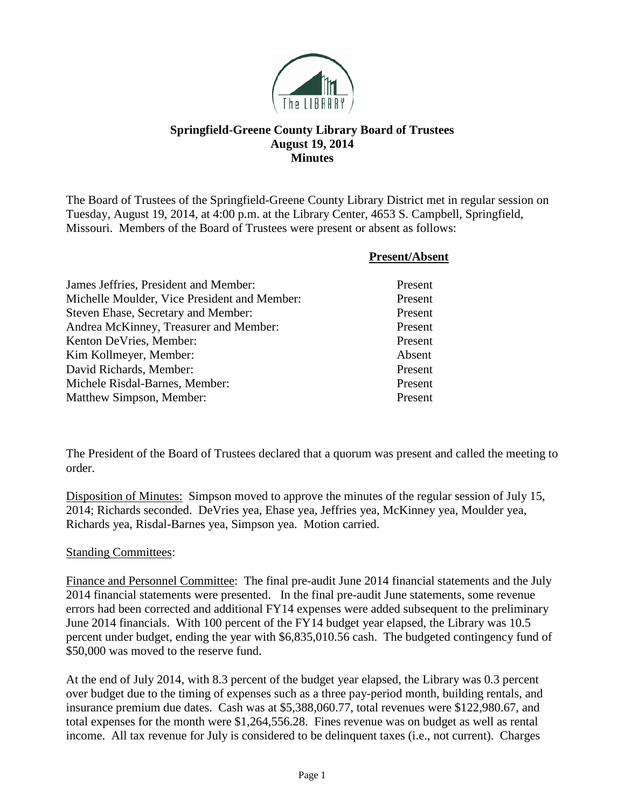

## **Springfield-Greene County Library Board of Trustees August 19, 2014 Minutes**

The Board of Trustees of the Springfield-Greene County Library District met in regular session on Tuesday, August 19, 2014, at 4:00 p.m. at the Library Center, 4653 S. Campbell, Springfield, Missouri. Members of the Board of Trustees were present or absent as follows:

|                                              | <b>Present/Absent</b> |
|----------------------------------------------|-----------------------|
| James Jeffries, President and Member:        | Present               |
| Michelle Moulder, Vice President and Member: | Present               |
| Steven Ehase, Secretary and Member:          | Present               |
| Andrea McKinney, Treasurer and Member:       | Present               |
| Kenton DeVries, Member:                      | Present               |
| Kim Kollmeyer, Member:                       | Absent                |
| David Richards, Member:                      | Present               |
| Michele Risdal-Barnes, Member:               | Present               |
| Matthew Simpson, Member:                     | Present               |

The President of the Board of Trustees declared that a quorum was present and called the meeting to order.

Disposition of Minutes: Simpson moved to approve the minutes of the regular session of July 15, 2014; Richards seconded. DeVries yea, Ehase yea, Jeffries yea, McKinney yea, Moulder yea, Richards yea, Risdal-Barnes yea, Simpson yea. Motion carried.

## Standing Committees:

Finance and Personnel Committee: The final pre-audit June 2014 financial statements and the July 2014 financial statements were presented. In the final pre-audit June statements, some revenue errors had been corrected and additional FY14 expenses were added subsequent to the preliminary June 2014 financials. With 100 percent of the FY14 budget year elapsed, the Library was 10.5 percent under budget, ending the year with \$6,835,010.56 cash. The budgeted contingency fund of \$50,000 was moved to the reserve fund.

At the end of July 2014, with 8.3 percent of the budget year elapsed, the Library was 0.3 percent over budget due to the timing of expenses such as a three pay-period month, building rentals, and insurance premium due dates. Cash was at \$5,388,060.77, total revenues were \$122,980.67, and total expenses for the month were \$1,264,556.28. Fines revenue was on budget as well as rental income. All tax revenue for July is considered to be delinquent taxes (i.e., not current). Charges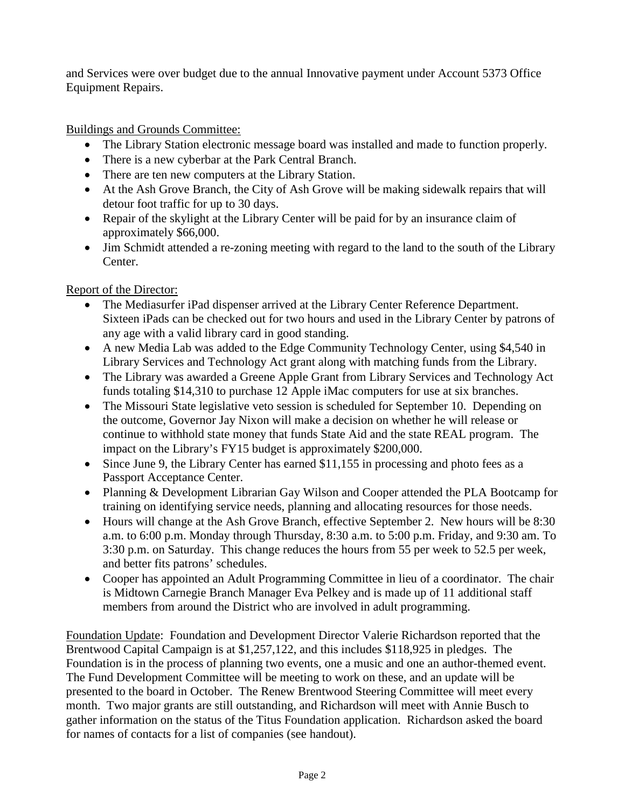and Services were over budget due to the annual Innovative payment under Account 5373 Office Equipment Repairs.

Buildings and Grounds Committee:

- The Library Station electronic message board was installed and made to function properly.
- There is a new cyberbar at the Park Central Branch.
- There are ten new computers at the Library Station.
- At the Ash Grove Branch, the City of Ash Grove will be making sidewalk repairs that will detour foot traffic for up to 30 days.
- Repair of the skylight at the Library Center will be paid for by an insurance claim of approximately \$66,000.
- Jim Schmidt attended a re-zoning meeting with regard to the land to the south of the Library Center.

Report of the Director:

- The Mediasurfer iPad dispenser arrived at the Library Center Reference Department. Sixteen iPads can be checked out for two hours and used in the Library Center by patrons of any age with a valid library card in good standing.
- A new Media Lab was added to the Edge Community Technology Center, using \$4,540 in Library Services and Technology Act grant along with matching funds from the Library.
- The Library was awarded a Greene Apple Grant from Library Services and Technology Act funds totaling \$14,310 to purchase 12 Apple iMac computers for use at six branches.
- The Missouri State legislative veto session is scheduled for September 10. Depending on the outcome, Governor Jay Nixon will make a decision on whether he will release or continue to withhold state money that funds State Aid and the state REAL program. The impact on the Library's FY15 budget is approximately \$200,000.
- Since June 9, the Library Center has earned \$11,155 in processing and photo fees as a Passport Acceptance Center.
- Planning & Development Librarian Gay Wilson and Cooper attended the PLA Bootcamp for training on identifying service needs, planning and allocating resources for those needs.
- Hours will change at the Ash Grove Branch, effective September 2. New hours will be 8:30 a.m. to 6:00 p.m. Monday through Thursday, 8:30 a.m. to 5:00 p.m. Friday, and 9:30 am. To 3:30 p.m. on Saturday. This change reduces the hours from 55 per week to 52.5 per week, and better fits patrons' schedules.
- Cooper has appointed an Adult Programming Committee in lieu of a coordinator. The chair is Midtown Carnegie Branch Manager Eva Pelkey and is made up of 11 additional staff members from around the District who are involved in adult programming.

Foundation Update: Foundation and Development Director Valerie Richardson reported that the Brentwood Capital Campaign is at \$1,257,122, and this includes \$118,925 in pledges. The Foundation is in the process of planning two events, one a music and one an author-themed event. The Fund Development Committee will be meeting to work on these, and an update will be presented to the board in October. The Renew Brentwood Steering Committee will meet every month. Two major grants are still outstanding, and Richardson will meet with Annie Busch to gather information on the status of the Titus Foundation application. Richardson asked the board for names of contacts for a list of companies (see handout).